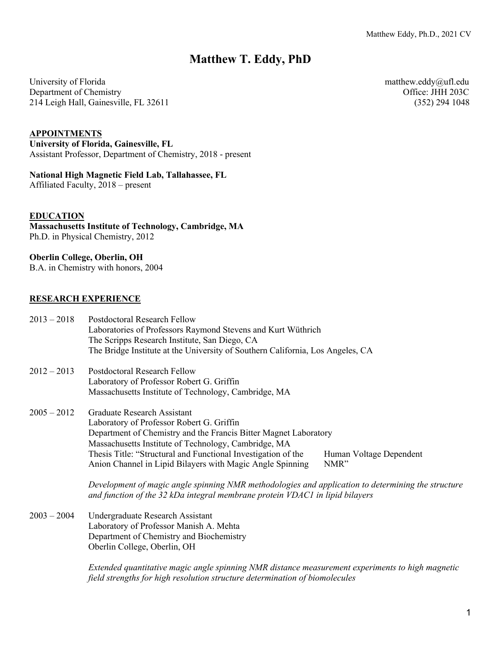# **Matthew T. Eddy, PhD**

University of Florida matthew.eddy@ufl.edu Department of Chemistry Chemistry Chemistry Chemistry Chemistry Chemistry Chemistry Chemistry Chemistry Chemistry Chemistry Chemistry Chemistry Chemistry Chemistry Chemistry Chemistry Chemistry Chemistry Chemistry Chemistr 214 Leigh Hall, Gainesville, FL 32611 (352) 294 1048

# **APPOINTMENTS**

**University of Florida, Gainesville, FL** Assistant Professor, Department of Chemistry, 2018 - present

# **National High Magnetic Field Lab, Tallahassee, FL**

Affiliated Faculty, 2018 – present

#### **EDUCATION**

**Massachusetts Institute of Technology, Cambridge, MA** Ph.D. in Physical Chemistry, 2012

#### **Oberlin College, Oberlin, OH**

B.A. in Chemistry with honors, 2004

# **RESEARCH EXPERIENCE**

| $2013 - 2018$ | <b>Postdoctoral Research Fellow</b><br>Laboratories of Professors Raymond Stevens and Kurt Wüthrich                                                                                |                         |
|---------------|------------------------------------------------------------------------------------------------------------------------------------------------------------------------------------|-------------------------|
|               | The Scripps Research Institute, San Diego, CA                                                                                                                                      |                         |
|               | The Bridge Institute at the University of Southern California, Los Angeles, CA                                                                                                     |                         |
| $2012 - 2013$ | <b>Postdoctoral Research Fellow</b>                                                                                                                                                |                         |
|               | Laboratory of Professor Robert G. Griffin                                                                                                                                          |                         |
|               | Massachusetts Institute of Technology, Cambridge, MA                                                                                                                               |                         |
| $2005 - 2012$ | Graduate Research Assistant                                                                                                                                                        |                         |
|               | Laboratory of Professor Robert G. Griffin                                                                                                                                          |                         |
|               | Department of Chemistry and the Francis Bitter Magnet Laboratory                                                                                                                   |                         |
|               | Massachusetts Institute of Technology, Cambridge, MA                                                                                                                               |                         |
|               | Thesis Title: "Structural and Functional Investigation of the                                                                                                                      | Human Voltage Dependent |
|               | Anion Channel in Lipid Bilayers with Magic Angle Spinning                                                                                                                          | NMR"                    |
|               | Development of magic angle spinning NMR methodologies and application to determining the structure<br>and function of the 32 kDa integral membrane protein VDAC1 in lipid bilayers |                         |
| $2003 - 2004$ | Undergraduate Research Assistant                                                                                                                                                   |                         |
|               | Laboratory of Professor Manish A. Mehta                                                                                                                                            |                         |
|               | Department of Chemistry and Biochemistry                                                                                                                                           |                         |

Oberlin College, Oberlin, OH

*Extended quantitative magic angle spinning NMR distance measurement experiments to high magnetic field strengths for high resolution structure determination of biomolecules*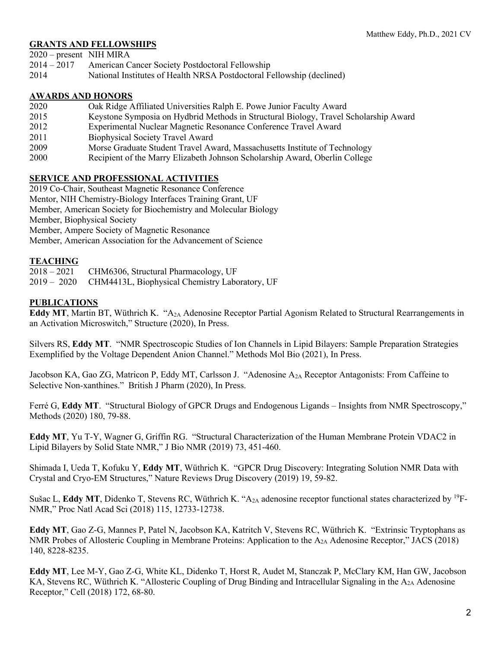# **GRANTS AND FELLOWSHIPS**

2020 – present NIH MIRA

- 2014 2017 American Cancer Society Postdoctoral Fellowship
- 2014 National Institutes of Health NRSA Postdoctoral Fellowship (declined)

# **AWARDS AND HONORS**

- 2020 Oak Ridge Affiliated Universities Ralph E. Powe Junior Faculty Award
- 2015 Keystone Symposia on Hydbrid Methods in Structural Biology, Travel Scholarship Award
- 2012 Experimental Nuclear Magnetic Resonance Conference Travel Award
- 2011 Biophysical Society Travel Award
- 2009 Morse Graduate Student Travel Award, Massachusetts Institute of Technology
- 2000 Recipient of the Marry Elizabeth Johnson Scholarship Award, Oberlin College

# **SERVICE AND PROFESSIONAL ACTIVITIES**

2019 Co-Chair, Southeast Magnetic Resonance Conference Mentor, NIH Chemistry-Biology Interfaces Training Grant, UF Member, American Society for Biochemistry and Molecular Biology Member, Biophysical Society Member, Ampere Society of Magnetic Resonance Member, American Association for the Advancement of Science

# **TEACHING**

2018 – 2021 CHM6306, Structural Pharmacology, UF 2019 – 2020 CHM4413L, Biophysical Chemistry Laboratory, UF

# **PUBLICATIONS**

**Eddy MT**, Martin BT, Wüthrich K. "A2A Adenosine Receptor Partial Agonism Related to Structural Rearrangements in an Activation Microswitch," Structure (2020), In Press.

Silvers RS, **Eddy MT**. "NMR Spectroscopic Studies of Ion Channels in Lipid Bilayers: Sample Preparation Strategies Exemplified by the Voltage Dependent Anion Channel." Methods Mol Bio (2021), In Press.

Jacobson KA, Gao ZG, Matricon P, Eddy MT, Carlsson J. "Adenosine A2A Receptor Antagonists: From Caffeine to Selective Non-xanthines." British J Pharm (2020), In Press.

Ferré G, **Eddy MT**. "Structural Biology of GPCR Drugs and Endogenous Ligands – Insights from NMR Spectroscopy," Methods (2020) 180, 79-88.

**Eddy MT**, Yu T-Y, Wagner G, Griffin RG. "Structural Characterization of the Human Membrane Protein VDAC2 in Lipid Bilayers by Solid State NMR," J Bio NMR (2019) 73, 451-460.

Shimada I, Ueda T, Kofuku Y, **Eddy MT**, Wüthrich K. "GPCR Drug Discovery: Integrating Solution NMR Data with Crystal and Cryo-EM Structures," Nature Reviews Drug Discovery (2019) 19, 59-82.

Sušac L, Eddy MT, Didenko T, Stevens RC, Wüthrich K. "A<sub>2A</sub> adenosine receptor functional states characterized by <sup>19</sup>F-NMR," Proc Natl Acad Sci (2018) 115, 12733-12738.

**Eddy MT**, Gao Z-G, Mannes P, Patel N, Jacobson KA, Katritch V, Stevens RC, Wüthrich K. "Extrinsic Tryptophans as NMR Probes of Allosteric Coupling in Membrane Proteins: Application to the A2A Adenosine Receptor," JACS (2018) 140, 8228-8235.

**Eddy MT**, Lee M-Y, Gao Z-G, White KL, Didenko T, Horst R, Audet M, Stanczak P, McClary KM, Han GW, Jacobson KA, Stevens RC, Wüthrich K. "Allosteric Coupling of Drug Binding and Intracellular Signaling in the  $A_{2A}$  Adenosine Receptor," Cell (2018) 172, 68-80.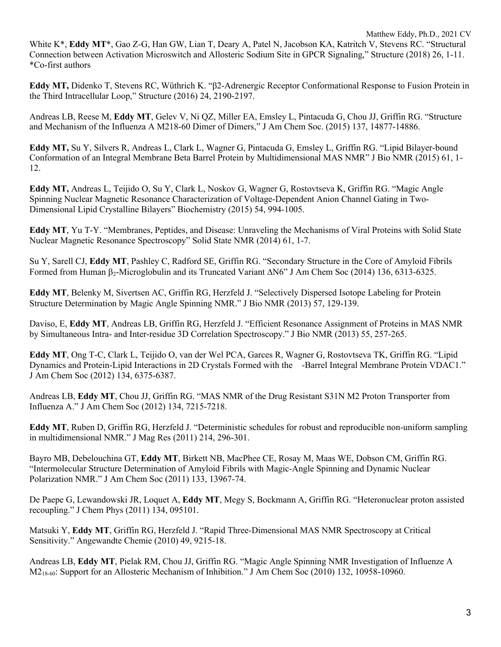Matthew Eddy, Ph.D., 2021 CV White K\*, **Eddy MT**\*, Gao Z-G, Han GW, Lian T, Deary A, Patel N, Jacobson KA, Katritch V, Stevens RC. "Structural Connection between Activation Microswitch and Allosteric Sodium Site in GPCR Signaling," Structure (2018) 26, 1-11. \*Co-first authors

**Eddy MT,** Didenko T, Stevens RC, Wüthrich K. "β2-Adrenergic Receptor Conformational Response to Fusion Protein in the Third Intracellular Loop," Structure (2016) 24, 2190-2197.

Andreas LB, Reese M, **Eddy MT**, Gelev V, Ni QZ, Miller EA, Emsley L, Pintacuda G, Chou JJ, Griffin RG. "Structure and Mechanism of the Influenza A M218-60 Dimer of Dimers," J Am Chem Soc. (2015) 137, 14877-14886.

**Eddy MT,** Su Y, Silvers R, Andreas L, Clark L, Wagner G, Pintacuda G, Emsley L, Griffin RG. "Lipid Bilayer-bound Conformation of an Integral Membrane Beta Barrel Protein by Multidimensional MAS NMR" J Bio NMR (2015) 61, 1- 12.

**Eddy MT,** Andreas L, Teijido O, Su Y, Clark L, Noskov G, Wagner G, Rostovtseva K, Griffin RG. "Magic Angle Spinning Nuclear Magnetic Resonance Characterization of Voltage-Dependent Anion Channel Gating in Two-Dimensional Lipid Crystalline Bilayers" Biochemistry (2015) 54, 994-1005.

**Eddy MT**, Yu T-Y. "Membranes, Peptides, and Disease: Unraveling the Mechanisms of Viral Proteins with Solid State Nuclear Magnetic Resonance Spectroscopy" Solid State NMR (2014) 61, 1-7.

Su Y, Sarell CJ, **Eddy MT**, Pashley C, Radford SE, Griffin RG. "Secondary Structure in the Core of Amyloid Fibrils Formed from Human  $\beta_2$ -Microglobulin and its Truncated Variant  $\Delta N6$ " J Am Chem Soc (2014) 136, 6313-6325.

**Eddy MT**, Belenky M, Sivertsen AC, Griffin RG, Herzfeld J. "Selectively Dispersed Isotope Labeling for Protein Structure Determination by Magic Angle Spinning NMR." J Bio NMR (2013) 57, 129-139.

Daviso, E, **Eddy MT**, Andreas LB, Griffin RG, Herzfeld J. "Efficient Resonance Assignment of Proteins in MAS NMR by Simultaneous Intra- and Inter-residue 3D Correlation Spectroscopy." J Bio NMR (2013) 55, 257-265.

**Eddy MT**, Ong T-C, Clark L, Teijido O, van der Wel PCA, Garces R, Wagner G, Rostovtseva TK, Griffin RG. "Lipid Dynamics and Protein-Lipid Interactions in 2D Crystals Formed with the -Barrel Integral Membrane Protein VDAC1." J Am Chem Soc (2012) 134, 6375-6387.

Andreas LB, **Eddy MT**, Chou JJ, Griffin RG. "MAS NMR of the Drug Resistant S31N M2 Proton Transporter from Influenza A." J Am Chem Soc (2012) 134, 7215-7218.

**Eddy MT**, Ruben D, Griffin RG, Herzfeld J. "Deterministic schedules for robust and reproducible non-uniform sampling in multidimensional NMR." J Mag Res (2011) 214, 296-301.

Bayro MB, Debelouchina GT, **Eddy MT**, Birkett NB, MacPhee CE, Rosay M, Maas WE, Dobson CM, Griffin RG. "Intermolecular Structure Determination of Amyloid Fibrils with Magic-Angle Spinning and Dynamic Nuclear Polarization NMR." J Am Chem Soc (2011) 133, 13967-74.

De Paepe G, Lewandowski JR, Loquet A, **Eddy MT**, Megy S, Bockmann A, Griffin RG. "Heteronuclear proton assisted recoupling." J Chem Phys (2011) 134, 095101.

Matsuki Y, **Eddy MT**, Griffin RG, Herzfeld J. "Rapid Three-Dimensional MAS NMR Spectroscopy at Critical Sensitivity." Angewandte Chemie (2010) 49, 9215-18.

Andreas LB, **Eddy MT**, Pielak RM, Chou JJ, Griffin RG. "Magic Angle Spinning NMR Investigation of Influenze A M<sub>2<sub>18-60</sub>: Support for an Allosteric Mechanism of Inhibition." J Am Chem Soc (2010) 132, 10958-10960.</sub>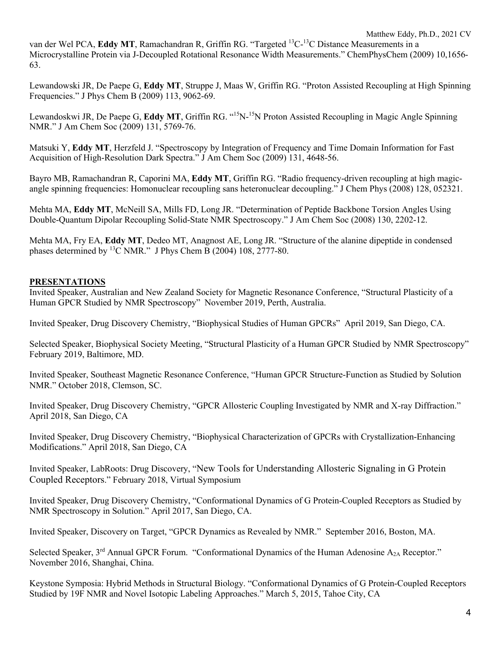van der Wel PCA, **Eddy MT**, Ramachandran R, Griffin RG. "Targeted 13C-13C Distance Measurements in a Microcrystalline Protein via J-Decoupled Rotational Resonance Width Measurements." ChemPhysChem (2009) 10,1656- 63.

Lewandowski JR, De Paepe G, **Eddy MT**, Struppe J, Maas W, Griffin RG. "Proton Assisted Recoupling at High Spinning Frequencies." J Phys Chem B (2009) 113, 9062-69.

Lewandoskwi JR, De Paepe G, **Eddy MT**, Griffin RG. "15N-15N Proton Assisted Recoupling in Magic Angle Spinning NMR." J Am Chem Soc (2009) 131, 5769-76.

Matsuki Y, **Eddy MT**, Herzfeld J. "Spectroscopy by Integration of Frequency and Time Domain Information for Fast Acquisition of High-Resolution Dark Spectra." J Am Chem Soc (2009) 131, 4648-56.

Bayro MB, Ramachandran R, Caporini MA, **Eddy MT**, Griffin RG. "Radio frequency-driven recoupling at high magicangle spinning frequencies: Homonuclear recoupling sans heteronuclear decoupling." J Chem Phys (2008) 128, 052321.

Mehta MA, **Eddy MT**, McNeill SA, Mills FD, Long JR. "Determination of Peptide Backbone Torsion Angles Using Double-Quantum Dipolar Recoupling Solid-State NMR Spectroscopy." J Am Chem Soc (2008) 130, 2202-12.

Mehta MA, Fry EA, **Eddy MT**, Dedeo MT, Anagnost AE, Long JR. "Structure of the alanine dipeptide in condensed phases determined by <sup>13</sup>C NMR." J Phys Chem B (2004) 108, 2777-80.

# **PRESENTATIONS**

Invited Speaker, Australian and New Zealand Society for Magnetic Resonance Conference, "Structural Plasticity of a Human GPCR Studied by NMR Spectroscopy" November 2019, Perth, Australia.

Invited Speaker, Drug Discovery Chemistry, "Biophysical Studies of Human GPCRs" April 2019, San Diego, CA.

Selected Speaker, Biophysical Society Meeting, "Structural Plasticity of a Human GPCR Studied by NMR Spectroscopy" February 2019, Baltimore, MD.

Invited Speaker, Southeast Magnetic Resonance Conference, "Human GPCR Structure-Function as Studied by Solution NMR." October 2018, Clemson, SC.

Invited Speaker, Drug Discovery Chemistry, "GPCR Allosteric Coupling Investigated by NMR and X-ray Diffraction." April 2018, San Diego, CA

Invited Speaker, Drug Discovery Chemistry, "Biophysical Characterization of GPCRs with Crystallization-Enhancing Modifications." April 2018, San Diego, CA

Invited Speaker, LabRoots: Drug Discovery, "New Tools for Understanding Allosteric Signaling in G Protein Coupled Receptors." February 2018, Virtual Symposium

Invited Speaker, Drug Discovery Chemistry, "Conformational Dynamics of G Protein-Coupled Receptors as Studied by NMR Spectroscopy in Solution." April 2017, San Diego, CA.

Invited Speaker, Discovery on Target, "GPCR Dynamics as Revealed by NMR." September 2016, Boston, MA.

Selected Speaker, 3<sup>rd</sup> Annual GPCR Forum. "Conformational Dynamics of the Human Adenosine A<sub>2A</sub> Receptor." November 2016, Shanghai, China.

Keystone Symposia: Hybrid Methods in Structural Biology. "Conformational Dynamics of G Protein-Coupled Receptors Studied by 19F NMR and Novel Isotopic Labeling Approaches." March 5, 2015, Tahoe City, CA